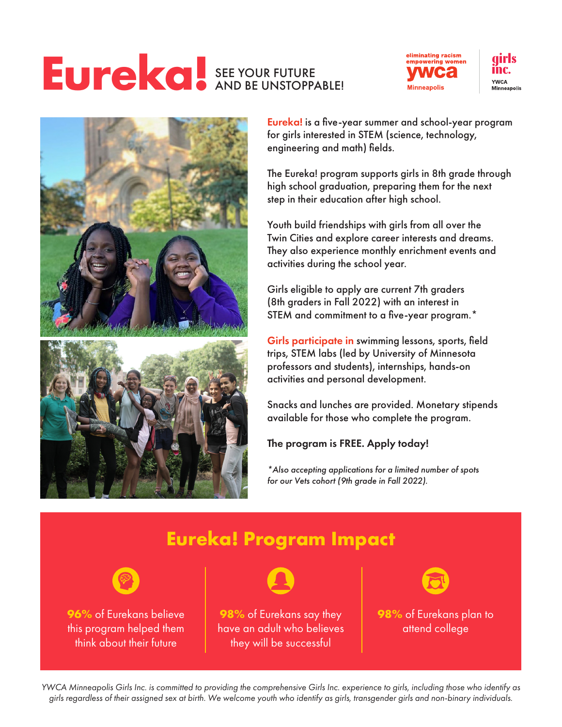#### **Eureka!** SEE YOUR FUTURE AND BE UNSTOPPABLE!









Eureka! is a five-year summer and school-year program for girls interested in STEM (science, technology, engineering and math) fields.

The Eureka! program supports girls in 8th grade through high school graduation, preparing them for the next step in their education after high school.

Youth build friendships with girls from all over the Twin Cities and explore career interests and dreams. They also experience monthly enrichment events and activities during the school year.

Girls eligible to apply are current 7th graders (8th graders in Fall 2022) with an interest in STEM and commitment to a five-year program.\*

Girls participate in swimming lessons, sports, field trips, STEM labs (led by University of Minnesota professors and students), internships, hands-on activities and personal development.

Snacks and lunches are provided. Monetary stipends available for those who complete the program.

#### The program is FREE. Apply today!

*\*Also accepting applications for a limited number of spots for our Vets cohort (9th grade in Fall 2022).*



*YWCA Minneapolis Girls Inc. is committed to providing the comprehensive Girls Inc. experience to girls, including those who identify as girls regardless of their assigned sex at birth. We welcome youth who identify as girls, transgender girls and non-binary individuals.*